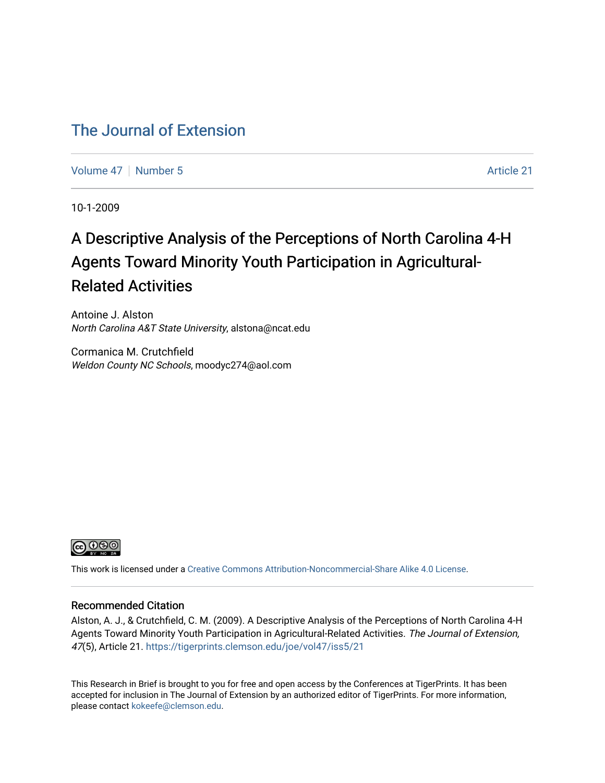#### [The Journal of Extension](https://tigerprints.clemson.edu/joe)

[Volume 47](https://tigerprints.clemson.edu/joe/vol47) [Number 5](https://tigerprints.clemson.edu/joe/vol47/iss5) Article 21

10-1-2009

## A Descriptive Analysis of the Perceptions of North Carolina 4-H Agents Toward Minority Youth Participation in Agricultural-Related Activities

Antoine J. Alston North Carolina A&T State University, alstona@ncat.edu

Cormanica M. Crutchfield Weldon County NC Schools, moodyc274@aol.com



This work is licensed under a [Creative Commons Attribution-Noncommercial-Share Alike 4.0 License.](https://creativecommons.org/licenses/by-nc-sa/4.0/)

#### Recommended Citation

Alston, A. J., & Crutchfield, C. M. (2009). A Descriptive Analysis of the Perceptions of North Carolina 4-H Agents Toward Minority Youth Participation in Agricultural-Related Activities. The Journal of Extension, 47(5), Article 21. <https://tigerprints.clemson.edu/joe/vol47/iss5/21>

This Research in Brief is brought to you for free and open access by the Conferences at TigerPrints. It has been accepted for inclusion in The Journal of Extension by an authorized editor of TigerPrints. For more information, please contact [kokeefe@clemson.edu](mailto:kokeefe@clemson.edu).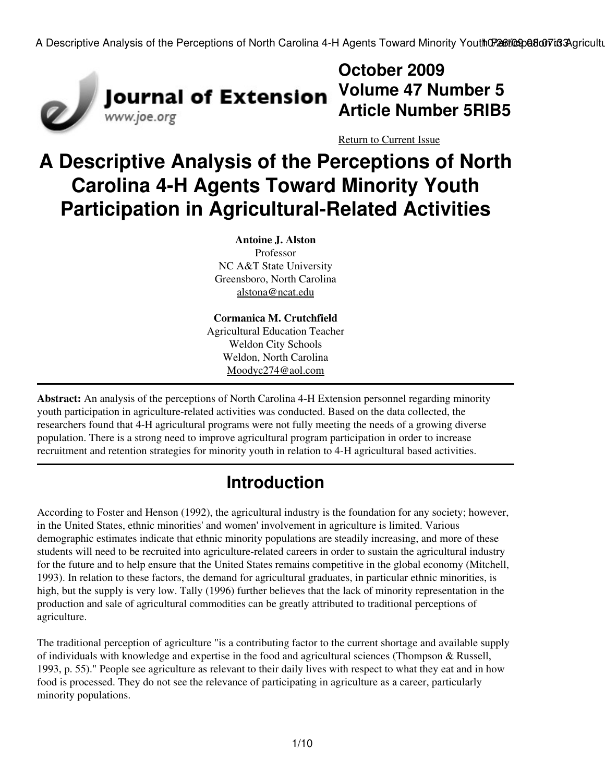

## **October 2009 Volume 47 Number 5 Article Number 5RIB5**

[Return to Current Issue](http://www.joe.org:80/joe/2009october/)

# **A Descriptive Analysis of the Perceptions of North Carolina 4-H Agents Toward Minority Youth Participation in Agricultural-Related Activities**

**Antoine J. Alston** Professor NC A&T State University Greensboro, North Carolina [alstona@ncat.edu](mailto:alstona@ncat.edu)

**Cormanica M. Crutchfield** Agricultural Education Teacher Weldon City Schools Weldon, North Carolina [Moodyc274@aol.com](mailto:Moodyc274@aol.com)

**Abstract:** An analysis of the perceptions of North Carolina 4-H Extension personnel regarding minority youth participation in agriculture-related activities was conducted. Based on the data collected, the researchers found that 4-H agricultural programs were not fully meeting the needs of a growing diverse population. There is a strong need to improve agricultural program participation in order to increase recruitment and retention strategies for minority youth in relation to 4-H agricultural based activities.

## **Introduction**

According to Foster and Henson (1992), the agricultural industry is the foundation for any society; however, in the United States, ethnic minorities' and women' involvement in agriculture is limited. Various demographic estimates indicate that ethnic minority populations are steadily increasing, and more of these students will need to be recruited into agriculture-related careers in order to sustain the agricultural industry for the future and to help ensure that the United States remains competitive in the global economy (Mitchell, 1993). In relation to these factors, the demand for agricultural graduates, in particular ethnic minorities, is high, but the supply is very low. Tally (1996) further believes that the lack of minority representation in the production and sale of agricultural commodities can be greatly attributed to traditional perceptions of agriculture.

The traditional perception of agriculture "is a contributing factor to the current shortage and available supply of individuals with knowledge and expertise in the food and agricultural sciences (Thompson & Russell, 1993, p. 55)." People see agriculture as relevant to their daily lives with respect to what they eat and in how food is processed. They do not see the relevance of participating in agriculture as a career, particularly minority populations.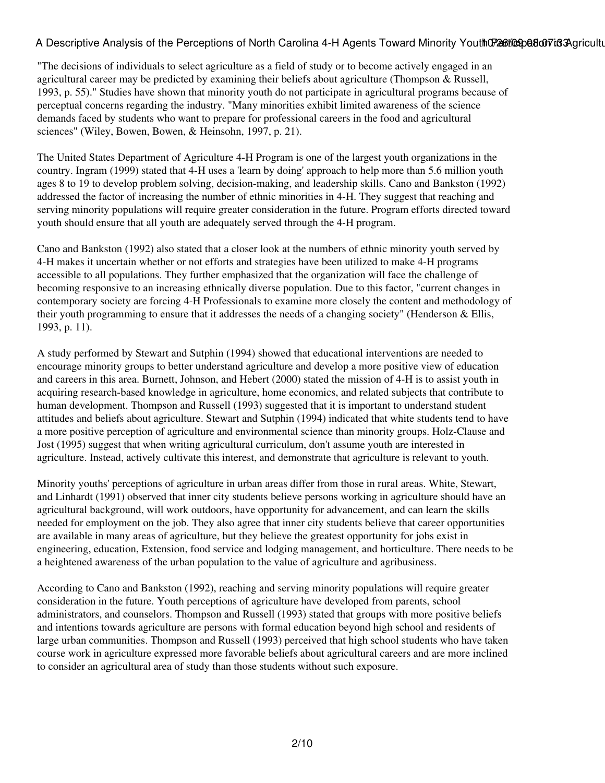"The decisions of individuals to select agriculture as a field of study or to become actively engaged in an agricultural career may be predicted by examining their beliefs about agriculture (Thompson & Russell, 1993, p. 55)." Studies have shown that minority youth do not participate in agricultural programs because of perceptual concerns regarding the industry. "Many minorities exhibit limited awareness of the science demands faced by students who want to prepare for professional careers in the food and agricultural sciences" (Wiley, Bowen, Bowen, & Heinsohn, 1997, p. 21).

The United States Department of Agriculture 4-H Program is one of the largest youth organizations in the country. Ingram (1999) stated that 4-H uses a 'learn by doing' approach to help more than 5.6 million youth ages 8 to 19 to develop problem solving, decision-making, and leadership skills. Cano and Bankston (1992) addressed the factor of increasing the number of ethnic minorities in 4-H. They suggest that reaching and serving minority populations will require greater consideration in the future. Program efforts directed toward youth should ensure that all youth are adequately served through the 4-H program.

Cano and Bankston (1992) also stated that a closer look at the numbers of ethnic minority youth served by 4-H makes it uncertain whether or not efforts and strategies have been utilized to make 4-H programs accessible to all populations. They further emphasized that the organization will face the challenge of becoming responsive to an increasing ethnically diverse population. Due to this factor, "current changes in contemporary society are forcing 4-H Professionals to examine more closely the content and methodology of their youth programming to ensure that it addresses the needs of a changing society" (Henderson & Ellis, 1993, p. 11).

A study performed by Stewart and Sutphin (1994) showed that educational interventions are needed to encourage minority groups to better understand agriculture and develop a more positive view of education and careers in this area. Burnett, Johnson, and Hebert (2000) stated the mission of 4-H is to assist youth in acquiring research-based knowledge in agriculture, home economics, and related subjects that contribute to human development. Thompson and Russell (1993) suggested that it is important to understand student attitudes and beliefs about agriculture. Stewart and Sutphin (1994) indicated that white students tend to have a more positive perception of agriculture and environmental science than minority groups. Holz-Clause and Jost (1995) suggest that when writing agricultural curriculum, don't assume youth are interested in agriculture. Instead, actively cultivate this interest, and demonstrate that agriculture is relevant to youth.

Minority youths' perceptions of agriculture in urban areas differ from those in rural areas. White, Stewart, and Linhardt (1991) observed that inner city students believe persons working in agriculture should have an agricultural background, will work outdoors, have opportunity for advancement, and can learn the skills needed for employment on the job. They also agree that inner city students believe that career opportunities are available in many areas of agriculture, but they believe the greatest opportunity for jobs exist in engineering, education, Extension, food service and lodging management, and horticulture. There needs to be a heightened awareness of the urban population to the value of agriculture and agribusiness.

According to Cano and Bankston (1992), reaching and serving minority populations will require greater consideration in the future. Youth perceptions of agriculture have developed from parents, school administrators, and counselors. Thompson and Russell (1993) stated that groups with more positive beliefs and intentions towards agriculture are persons with formal education beyond high school and residents of large urban communities. Thompson and Russell (1993) perceived that high school students who have taken course work in agriculture expressed more favorable beliefs about agricultural careers and are more inclined to consider an agricultural area of study than those students without such exposure.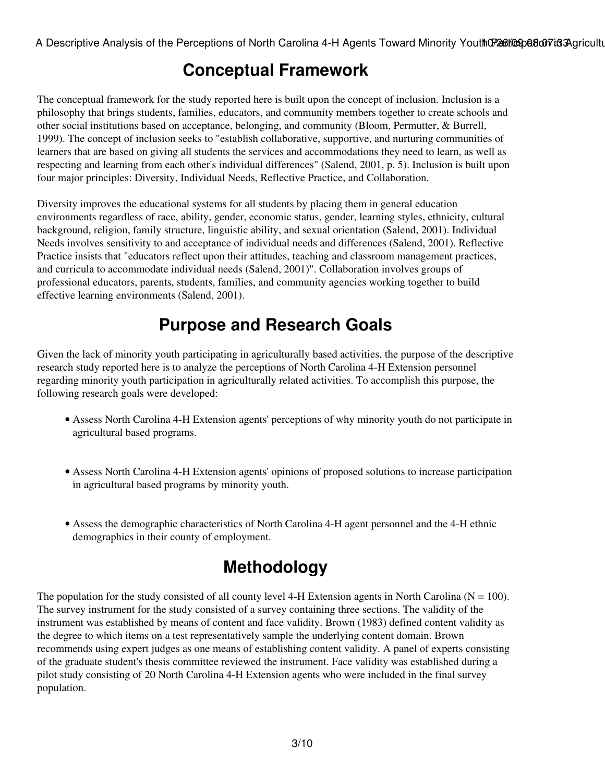### **Conceptual Framework**

The conceptual framework for the study reported here is built upon the concept of inclusion. Inclusion is a philosophy that brings students, families, educators, and community members together to create schools and other social institutions based on acceptance, belonging, and community (Bloom, Permutter, & Burrell, 1999). The concept of inclusion seeks to "establish collaborative, supportive, and nurturing communities of learners that are based on giving all students the services and accommodations they need to learn, as well as respecting and learning from each other's individual differences" (Salend, 2001, p. 5). Inclusion is built upon four major principles: Diversity, Individual Needs, Reflective Practice, and Collaboration.

Diversity improves the educational systems for all students by placing them in general education environments regardless of race, ability, gender, economic status, gender, learning styles, ethnicity, cultural background, religion, family structure, linguistic ability, and sexual orientation (Salend, 2001). Individual Needs involves sensitivity to and acceptance of individual needs and differences (Salend, 2001). Reflective Practice insists that "educators reflect upon their attitudes, teaching and classroom management practices, and curricula to accommodate individual needs (Salend, 2001)". Collaboration involves groups of professional educators, parents, students, families, and community agencies working together to build effective learning environments (Salend, 2001).

## **Purpose and Research Goals**

Given the lack of minority youth participating in agriculturally based activities, the purpose of the descriptive research study reported here is to analyze the perceptions of North Carolina 4-H Extension personnel regarding minority youth participation in agriculturally related activities. To accomplish this purpose, the following research goals were developed:

- Assess North Carolina 4-H Extension agents' perceptions of why minority youth do not participate in agricultural based programs.
- Assess North Carolina 4-H Extension agents' opinions of proposed solutions to increase participation in agricultural based programs by minority youth.
- Assess the demographic characteristics of North Carolina 4-H agent personnel and the 4-H ethnic demographics in their county of employment.

## **Methodology**

The population for the study consisted of all county level 4-H Extension agents in North Carolina ( $N = 100$ ). The survey instrument for the study consisted of a survey containing three sections. The validity of the instrument was established by means of content and face validity. Brown (1983) defined content validity as the degree to which items on a test representatively sample the underlying content domain. Brown recommends using expert judges as one means of establishing content validity. A panel of experts consisting of the graduate student's thesis committee reviewed the instrument. Face validity was established during a pilot study consisting of 20 North Carolina 4-H Extension agents who were included in the final survey population.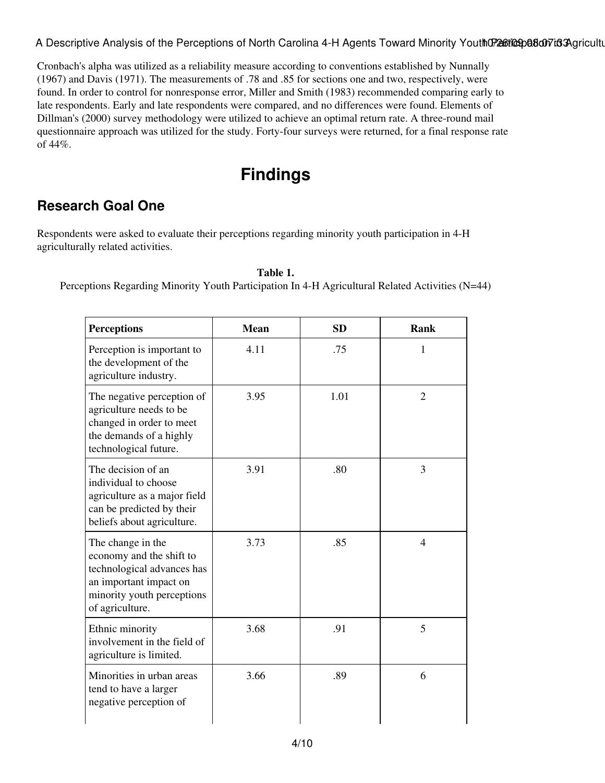Cronbach's alpha was utilized as a reliability measure according to conventions established by Nunnally (1967) and Davis (1971). The measurements of .78 and .85 for sections one and two, respectively, were found. In order to control for nonresponse error, Miller and Smith (1983) recommended comparing early to late respondents. Early and late respondents were compared, and no differences were found. Elements of Dillman's (2000) survey methodology were utilized to achieve an optimal return rate. A three-round mail questionnaire approach was utilized for the study. Forty-four surveys were returned, for a final response rate of 44%.

## **Findings**

#### **Research Goal One**

Respondents were asked to evaluate their perceptions regarding minority youth participation in 4-H agriculturally related activities.

**Table 1.**

Perceptions Regarding Minority Youth Participation In 4-H Agricultural Related Activities (N=44)

| <b>Perceptions</b>                                                                                                                                     | <b>Mean</b> | <b>SD</b> | Rank           |
|--------------------------------------------------------------------------------------------------------------------------------------------------------|-------------|-----------|----------------|
| Perception is important to<br>the development of the<br>agriculture industry.                                                                          | 4.11        | .75       | 1              |
| The negative perception of<br>agriculture needs to be<br>changed in order to meet<br>the demands of a highly<br>technological future.                  | 3.95        | 1.01      | $\overline{2}$ |
| The decision of an<br>individual to choose<br>agriculture as a major field<br>can be predicted by their<br>beliefs about agriculture.                  | 3.91        | .80       | 3              |
| The change in the<br>economy and the shift to<br>technological advances has<br>an important impact on<br>minority youth perceptions<br>of agriculture. | 3.73        | .85       | $\overline{4}$ |
| Ethnic minority<br>involvement in the field of<br>agriculture is limited.                                                                              | 3.68        | .91       | 5              |
| Minorities in urban areas<br>tend to have a larger<br>negative perception of                                                                           | 3.66        | .89       | 6              |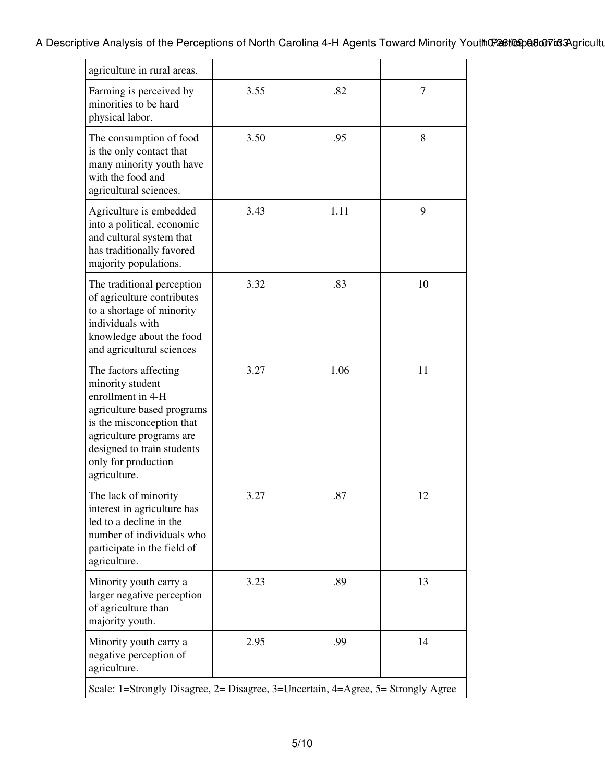A Descriptive Analysis of the Perceptions of North Carolina 4-H Agents Toward Minority Youth Charactica Agricultural-Relation in Agents 100 and Minority Youth Charactical Activities Agricultural-Relation Activities 10:07:0

| agriculture in rural areas.                                                                                                                                                                                                |      |      |    |  |  |  |
|----------------------------------------------------------------------------------------------------------------------------------------------------------------------------------------------------------------------------|------|------|----|--|--|--|
| Farming is perceived by<br>minorities to be hard<br>physical labor.                                                                                                                                                        | 3.55 | .82  | 7  |  |  |  |
| The consumption of food<br>is the only contact that<br>many minority youth have<br>with the food and<br>agricultural sciences.                                                                                             | 3.50 | .95  | 8  |  |  |  |
| Agriculture is embedded<br>into a political, economic<br>and cultural system that<br>has traditionally favored<br>majority populations.                                                                                    | 3.43 | 1.11 | 9  |  |  |  |
| The traditional perception<br>of agriculture contributes<br>to a shortage of minority<br>individuals with<br>knowledge about the food<br>and agricultural sciences                                                         | 3.32 | .83  | 10 |  |  |  |
| The factors affecting<br>minority student<br>enrollment in 4-H<br>agriculture based programs<br>is the misconception that<br>agriculture programs are<br>designed to train students<br>only for production<br>agriculture. | 3.27 | 1.06 | 11 |  |  |  |
| The lack of minority<br>interest in agriculture has<br>led to a decline in the<br>number of individuals who<br>participate in the field of<br>agriculture.                                                                 | 3.27 | .87  | 12 |  |  |  |
| Minority youth carry a<br>larger negative perception<br>of agriculture than<br>majority youth.                                                                                                                             | 3.23 | .89  | 13 |  |  |  |
| Minority youth carry a<br>negative perception of<br>agriculture.                                                                                                                                                           | 2.95 | .99  | 14 |  |  |  |
| Scale: 1=Strongly Disagree, 2= Disagree, 3=Uncertain, 4=Agree, 5= Strongly Agree                                                                                                                                           |      |      |    |  |  |  |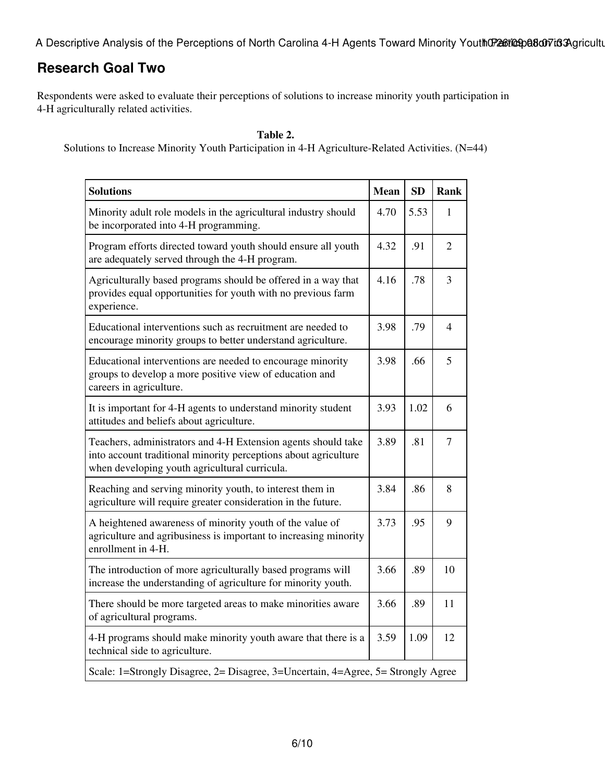A Descriptive Analysis of the Perceptions of North Carolina 4-H Agents Toward Minority Youth Charactical activities Agricultural-Relation in Agents 100 minority Activities 2016

#### **Research Goal Two**

Respondents were asked to evaluate their perceptions of solutions to increase minority youth participation in 4-H agriculturally related activities.

#### **Table 2.**

Solutions to Increase Minority Youth Participation in 4-H Agriculture-Related Activities. (N=44)

| <b>Solutions</b>                                                                                                                                                                  |      | <b>SD</b> | <b>Rank</b>    |  |
|-----------------------------------------------------------------------------------------------------------------------------------------------------------------------------------|------|-----------|----------------|--|
| Minority adult role models in the agricultural industry should<br>be incorporated into 4-H programming.                                                                           |      | 5.53      | 1              |  |
| Program efforts directed toward youth should ensure all youth<br>are adequately served through the 4-H program.                                                                   |      | .91       | $\overline{2}$ |  |
| Agriculturally based programs should be offered in a way that<br>provides equal opportunities for youth with no previous farm<br>experience.                                      |      | .78       | 3              |  |
| Educational interventions such as recruitment are needed to<br>encourage minority groups to better understand agriculture.                                                        |      | .79       | 4              |  |
| Educational interventions are needed to encourage minority<br>groups to develop a more positive view of education and<br>careers in agriculture.                                  | 3.98 | .66       | 5              |  |
| It is important for 4-H agents to understand minority student<br>attitudes and beliefs about agriculture.                                                                         | 3.93 | 1.02      | 6              |  |
| Teachers, administrators and 4-H Extension agents should take<br>into account traditional minority perceptions about agriculture<br>when developing youth agricultural curricula. |      | .81       | $\overline{7}$ |  |
| Reaching and serving minority youth, to interest them in<br>agriculture will require greater consideration in the future.                                                         |      | .86       | 8              |  |
| A heightened awareness of minority youth of the value of<br>agriculture and agribusiness is important to increasing minority<br>enrollment in 4-H.                                |      | .95       | 9              |  |
| The introduction of more agriculturally based programs will<br>increase the understanding of agriculture for minority youth.                                                      |      | .89       | 10             |  |
| There should be more targeted areas to make minorities aware<br>of agricultural programs.                                                                                         |      | .89       | 11             |  |
| 4-H programs should make minority youth aware that there is a<br>technical side to agriculture.                                                                                   |      | 1.09      | 12             |  |
| Scale: 1=Strongly Disagree, 2= Disagree, 3=Uncertain, 4=Agree, 5= Strongly Agree                                                                                                  |      |           |                |  |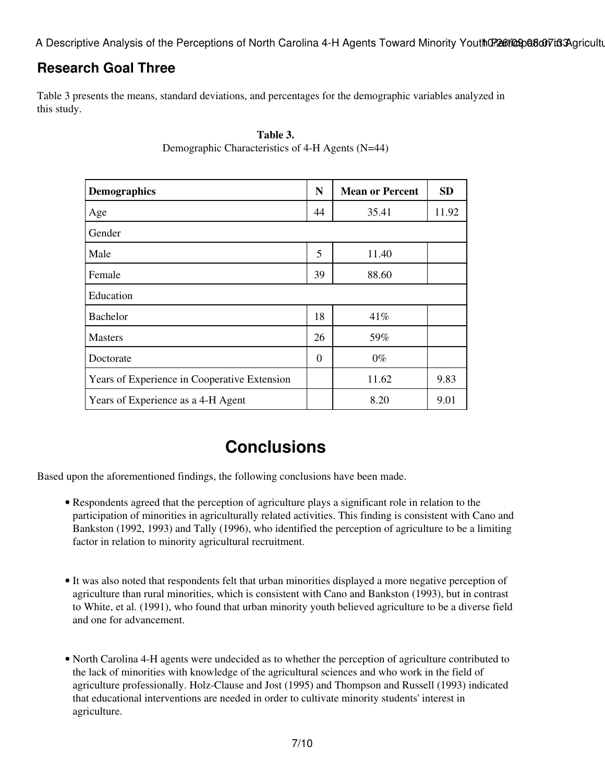#### **Research Goal Three**

Table 3 presents the means, standard deviations, and percentages for the demographic variables analyzed in this study.

| <b>Demographics</b>                          | N  | <b>Mean or Percent</b> | <b>SD</b> |  |  |
|----------------------------------------------|----|------------------------|-----------|--|--|
| Age                                          | 44 | 35.41                  | 11.92     |  |  |
| Gender                                       |    |                        |           |  |  |
| Male                                         | 5  | 11.40                  |           |  |  |
| Female                                       | 39 | 88.60                  |           |  |  |
| Education                                    |    |                        |           |  |  |
| Bachelor                                     | 18 | 41%                    |           |  |  |
| <b>Masters</b>                               | 26 | 59%                    |           |  |  |
| Doctorate                                    | 0  | $0\%$                  |           |  |  |
| Years of Experience in Cooperative Extension |    | 11.62                  | 9.83      |  |  |
| Years of Experience as a 4-H Agent           |    | 8.20                   | 9.01      |  |  |

#### **Table 3.** Demographic Characteristics of 4-H Agents (N=44)

### **Conclusions**

Based upon the aforementioned findings, the following conclusions have been made.

- Respondents agreed that the perception of agriculture plays a significant role in relation to the participation of minorities in agriculturally related activities. This finding is consistent with Cano and Bankston (1992, 1993) and Tally (1996), who identified the perception of agriculture to be a limiting factor in relation to minority agricultural recruitment.
- It was also noted that respondents felt that urban minorities displayed a more negative perception of agriculture than rural minorities, which is consistent with Cano and Bankston (1993), but in contrast to White, et al. (1991), who found that urban minority youth believed agriculture to be a diverse field and one for advancement.
- North Carolina 4-H agents were undecided as to whether the perception of agriculture contributed to the lack of minorities with knowledge of the agricultural sciences and who work in the field of agriculture professionally. Holz-Clause and Jost (1995) and Thompson and Russell (1993) indicated that educational interventions are needed in order to cultivate minority students' interest in agriculture.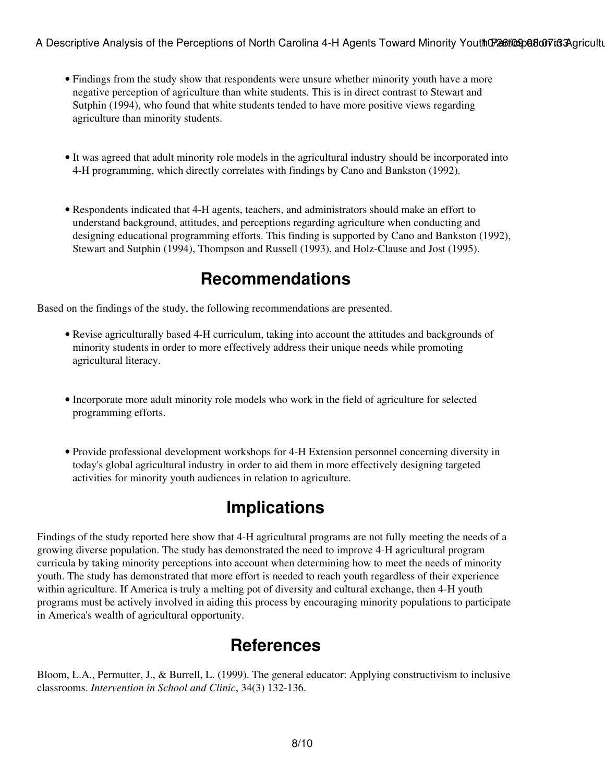- Findings from the study show that respondents were unsure whether minority youth have a more negative perception of agriculture than white students. This is in direct contrast to Stewart and Sutphin (1994), who found that white students tended to have more positive views regarding agriculture than minority students.
- It was agreed that adult minority role models in the agricultural industry should be incorporated into 4-H programming, which directly correlates with findings by Cano and Bankston (1992).
- Respondents indicated that 4-H agents, teachers, and administrators should make an effort to understand background, attitudes, and perceptions regarding agriculture when conducting and designing educational programming efforts. This finding is supported by Cano and Bankston (1992), Stewart and Sutphin (1994), Thompson and Russell (1993), and Holz-Clause and Jost (1995).

### **Recommendations**

Based on the findings of the study, the following recommendations are presented.

- Revise agriculturally based 4-H curriculum, taking into account the attitudes and backgrounds of minority students in order to more effectively address their unique needs while promoting agricultural literacy.
- Incorporate more adult minority role models who work in the field of agriculture for selected programming efforts.
- Provide professional development workshops for 4-H Extension personnel concerning diversity in today's global agricultural industry in order to aid them in more effectively designing targeted activities for minority youth audiences in relation to agriculture.

### **Implications**

Findings of the study reported here show that 4-H agricultural programs are not fully meeting the needs of a growing diverse population. The study has demonstrated the need to improve 4-H agricultural program curricula by taking minority perceptions into account when determining how to meet the needs of minority youth. The study has demonstrated that more effort is needed to reach youth regardless of their experience within agriculture. If America is truly a melting pot of diversity and cultural exchange, then 4-H youth programs must be actively involved in aiding this process by encouraging minority populations to participate in America's wealth of agricultural opportunity.

#### **References**

Bloom, L.A., Permutter, J., & Burrell, L. (1999). The general educator: Applying constructivism to inclusive classrooms. *Intervention in School and Clinic*, 34(3) 132-136.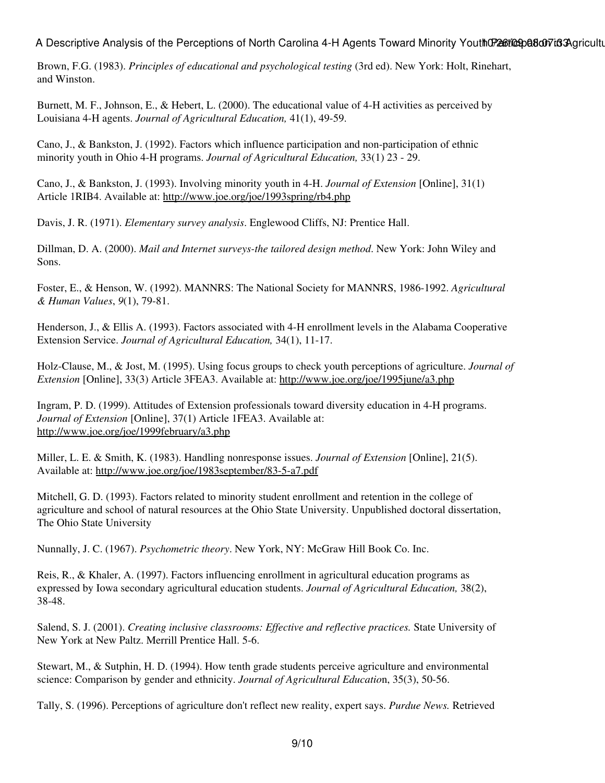Brown, F.G. (1983). *Principles of educational and psychological testing* (3rd ed). New York: Holt, Rinehart, and Winston.

Burnett, M. F., Johnson, E., & Hebert, L. (2000). The educational value of 4-H activities as perceived by Louisiana 4-H agents. *Journal of Agricultural Education,* 41(1), 49-59.

Cano, J., & Bankston, J. (1992). Factors which influence participation and non-participation of ethnic minority youth in Ohio 4-H programs. *Journal of Agricultural Education,* 33(1) 23 - 29.

Cano, J., & Bankston, J. (1993). Involving minority youth in 4-H. *Journal of Extension* [Online], 31(1) Article 1RIB4. Available at: [http://www.joe.org/joe/1993spring/rb4.php](http://www.joe.org/joe/1993spring/rb4.php )

Davis, J. R. (1971). *Elementary survey analysis*. Englewood Cliffs, NJ: Prentice Hall.

Dillman, D. A. (2000). *Mail and Internet surveys-the tailored design method*. New York: John Wiley and Sons.

Foster, E., & Henson, W. (1992). MANNRS: The National Society for MANNRS, 1986-1992. *Agricultural & Human Values*, *9*(1), 79-81.

Henderson, J., & Ellis A. (1993). Factors associated with 4-H enrollment levels in the Alabama Cooperative Extension Service. *Journal of Agricultural Education,* 34(1), 11-17.

Holz-Clause, M., & Jost, M. (1995). Using focus groups to check youth perceptions of agriculture. *Journal of Extension* [Online], 33(3) Article 3FEA3. Available at: <http://www.joe.org/joe/1995june/a3.php>

Ingram, P. D. (1999). Attitudes of Extension professionals toward diversity education in 4-H programs. *Journal of Extension* [Online], 37(1) Article 1FEA3. Available at: <http://www.joe.org/joe/1999february/a3.php>

Miller, L. E. & Smith, K. (1983). Handling nonresponse issues. *Journal of Extension* [Online], 21(5). Available at: <http://www.joe.org/joe/1983september/83-5-a7.pdf>

Mitchell, G. D. (1993). Factors related to minority student enrollment and retention in the college of agriculture and school of natural resources at the Ohio State University. Unpublished doctoral dissertation, The Ohio State University

Nunnally, J. C. (1967). *Psychometric theory*. New York, NY: McGraw Hill Book Co. Inc.

Reis, R., & Khaler, A. (1997). Factors influencing enrollment in agricultural education programs as expressed by Iowa secondary agricultural education students. *Journal of Agricultural Education,* 38(2), 38-48.

Salend, S. J. (2001). *Creating inclusive classrooms: Effective and reflective practices.* State University of New York at New Paltz. Merrill Prentice Hall. 5-6.

Stewart, M., & Sutphin, H. D. (1994). How tenth grade students perceive agriculture and environmental science: Comparison by gender and ethnicity. *Journal of Agricultural Educatio*n, 35(3), 50-56.

Tally, S. (1996). Perceptions of agriculture don't reflect new reality, expert says. *Purdue News.* Retrieved